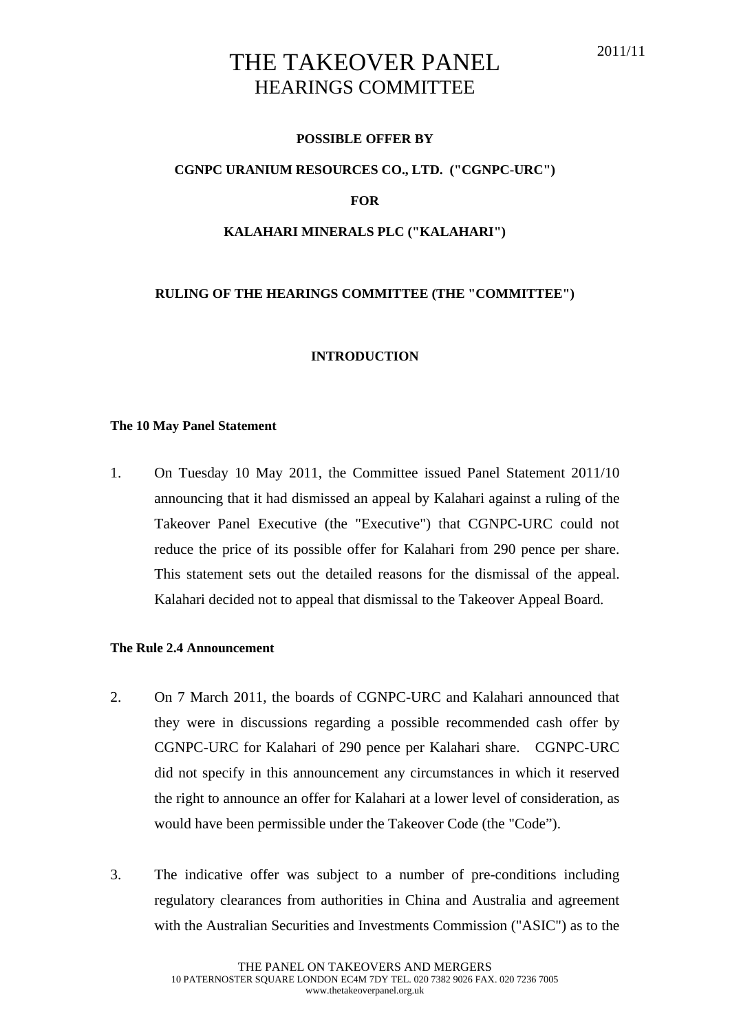# THE TAKEOVER PANEL HEARINGS COMMITTEE

## **POSSIBLE OFFER BY**

## **CGNPC URANIUM RESOURCES CO., LTD. ("CGNPC-URC")**

**FOR** 

#### **KALAHARI MINERALS PLC ("KALAHARI")**

## **RULING OF THE HEARINGS COMMITTEE (THE "COMMITTEE")**

#### **INTRODUCTION**

#### **The 10 May Panel Statement**

1. On Tuesday 10 May 2011, the Committee issued Panel Statement 2011/10 announcing that it had dismissed an appeal by Kalahari against a ruling of the Takeover Panel Executive (the "Executive") that CGNPC-URC could not reduce the price of its possible offer for Kalahari from 290 pence per share. This statement sets out the detailed reasons for the dismissal of the appeal. Kalahari decided not to appeal that dismissal to the Takeover Appeal Board.

## **The Rule 2.4 Announcement**

- 2. On 7 March 2011, the boards of CGNPC-URC and Kalahari announced that they were in discussions regarding a possible recommended cash offer by CGNPC-URC for Kalahari of 290 pence per Kalahari share. CGNPC-URC did not specify in this announcement any circumstances in which it reserved the right to announce an offer for Kalahari at a lower level of consideration, as would have been permissible under the Takeover Code (the "Code").
- 3. The indicative offer was subject to a number of pre-conditions including regulatory clearances from authorities in China and Australia and agreement with the Australian Securities and Investments Commission ("ASIC") as to the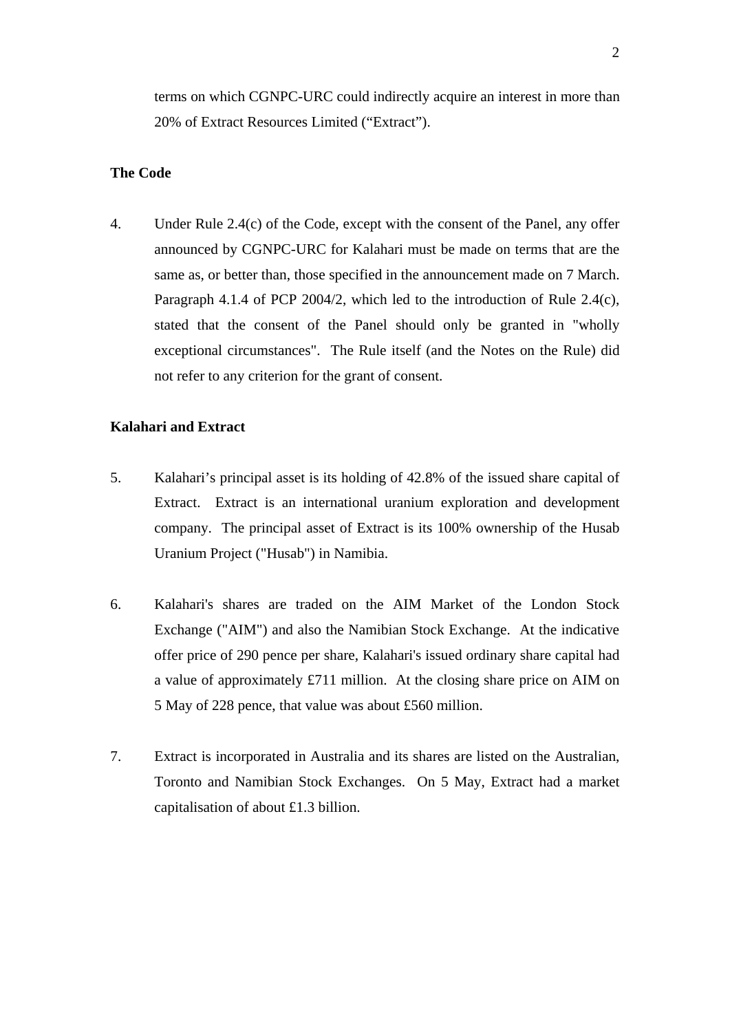terms on which CGNPC-URC could indirectly acquire an interest in more than 20% of Extract Resources Limited ("Extract").

## **The Code**

4. Under Rule 2.4(c) of the Code, except with the consent of the Panel, any offer announced by CGNPC-URC for Kalahari must be made on terms that are the same as, or better than, those specified in the announcement made on 7 March. Paragraph 4.1.4 of PCP 2004/2, which led to the introduction of Rule 2.4(c), stated that the consent of the Panel should only be granted in "wholly exceptional circumstances". The Rule itself (and the Notes on the Rule) did not refer to any criterion for the grant of consent.

## **Kalahari and Extract**

- 5. Kalahari's principal asset is its holding of 42.8% of the issued share capital of Extract. Extract is an international uranium exploration and development company. The principal asset of Extract is its 100% ownership of the Husab Uranium Project ("Husab") in Namibia.
- 6. Kalahari's shares are traded on the AIM Market of the London Stock Exchange ("AIM") and also the Namibian Stock Exchange. At the indicative offer price of 290 pence per share, Kalahari's issued ordinary share capital had a value of approximately £711 million. At the closing share price on AIM on 5 May of 228 pence, that value was about £560 million.
- 7. Extract is incorporated in Australia and its shares are listed on the Australian, Toronto and Namibian Stock Exchanges. On 5 May, Extract had a market capitalisation of about £1.3 billion.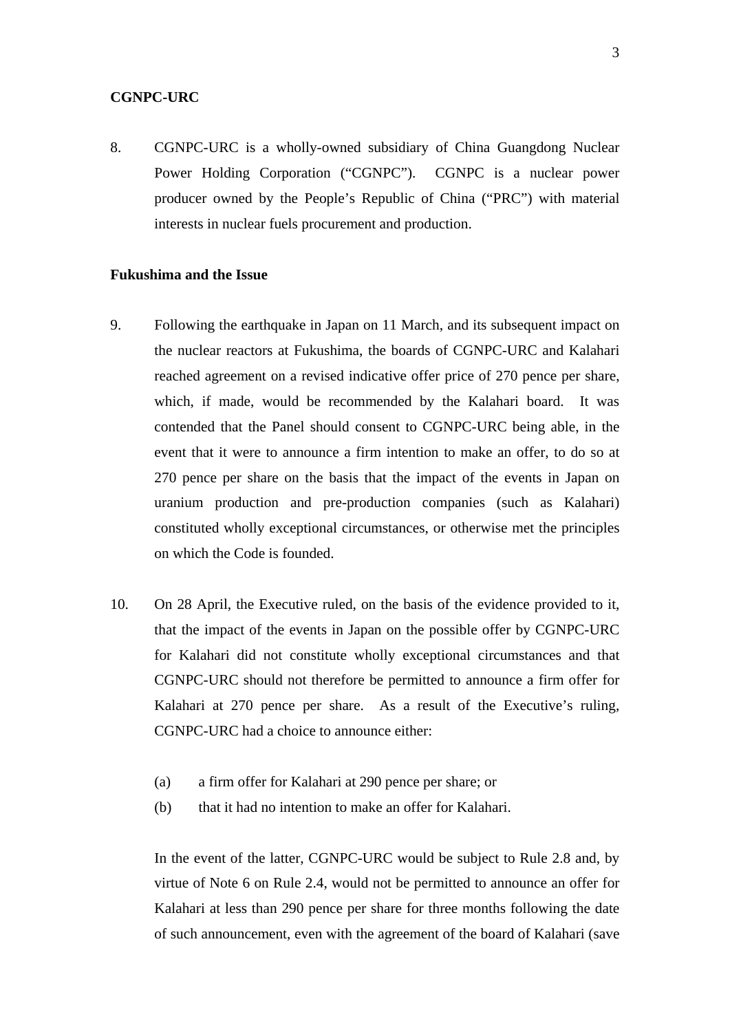#### **CGNPC-URC**

8. CGNPC-URC is a wholly-owned subsidiary of China Guangdong Nuclear Power Holding Corporation ("CGNPC"). CGNPC is a nuclear power producer owned by the People's Republic of China ("PRC") with material interests in nuclear fuels procurement and production.

## **Fukushima and the Issue**

- 9. Following the earthquake in Japan on 11 March, and its subsequent impact on the nuclear reactors at Fukushima, the boards of CGNPC-URC and Kalahari reached agreement on a revised indicative offer price of 270 pence per share, which, if made, would be recommended by the Kalahari board. It was contended that the Panel should consent to CGNPC-URC being able, in the event that it were to announce a firm intention to make an offer, to do so at 270 pence per share on the basis that the impact of the events in Japan on uranium production and pre-production companies (such as Kalahari) constituted wholly exceptional circumstances, or otherwise met the principles on which the Code is founded.
- 10. On 28 April, the Executive ruled, on the basis of the evidence provided to it, that the impact of the events in Japan on the possible offer by CGNPC-URC for Kalahari did not constitute wholly exceptional circumstances and that CGNPC-URC should not therefore be permitted to announce a firm offer for Kalahari at 270 pence per share. As a result of the Executive's ruling, CGNPC-URC had a choice to announce either:
	- (a) a firm offer for Kalahari at 290 pence per share; or
	- (b) that it had no intention to make an offer for Kalahari.

In the event of the latter, CGNPC-URC would be subject to Rule 2.8 and, by virtue of Note 6 on Rule 2.4, would not be permitted to announce an offer for Kalahari at less than 290 pence per share for three months following the date of such announcement, even with the agreement of the board of Kalahari (save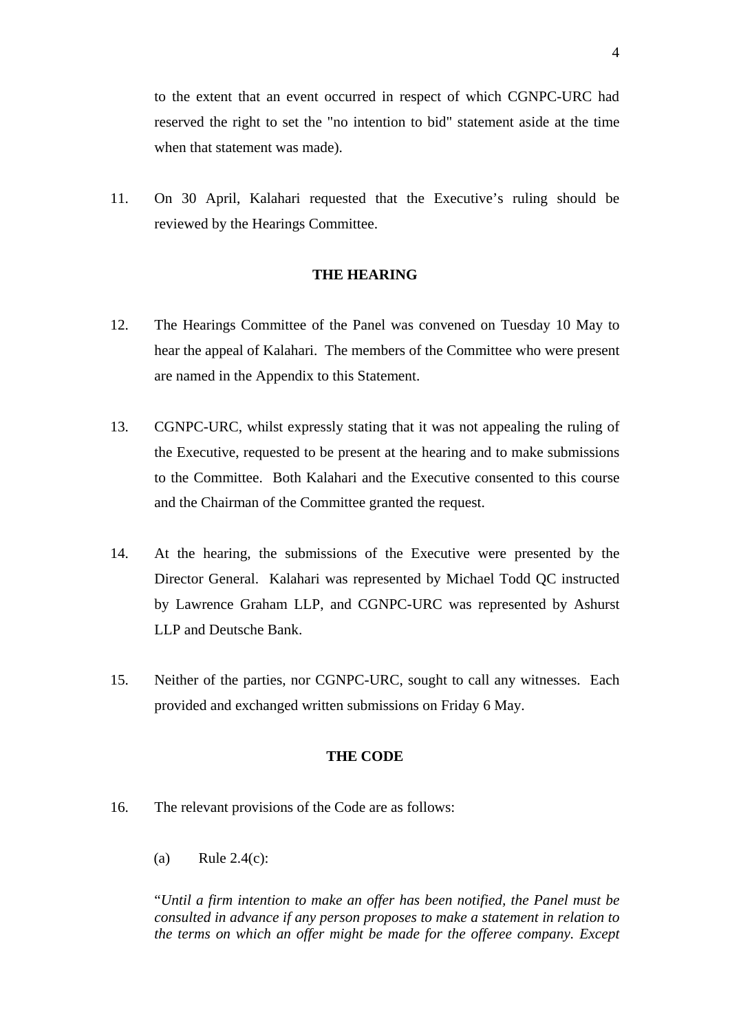to the extent that an event occurred in respect of which CGNPC-URC had reserved the right to set the "no intention to bid" statement aside at the time when that statement was made).

11. On 30 April, Kalahari requested that the Executive's ruling should be reviewed by the Hearings Committee.

## **THE HEARING**

- 12. The Hearings Committee of the Panel was convened on Tuesday 10 May to hear the appeal of Kalahari. The members of the Committee who were present are named in the Appendix to this Statement.
- 13. CGNPC-URC, whilst expressly stating that it was not appealing the ruling of the Executive, requested to be present at the hearing and to make submissions to the Committee. Both Kalahari and the Executive consented to this course and the Chairman of the Committee granted the request.
- 14. At the hearing, the submissions of the Executive were presented by the Director General. Kalahari was represented by Michael Todd QC instructed by Lawrence Graham LLP, and CGNPC-URC was represented by Ashurst LLP and Deutsche Bank.
- 15. Neither of the parties, nor CGNPC-URC, sought to call any witnesses. Each provided and exchanged written submissions on Friday 6 May.

## **THE CODE**

- 16. The relevant provisions of the Code are as follows:
	- (a) Rule 2.4(c):

"*Until a firm intention to make an offer has been notified, the Panel must be consulted in advance if any person proposes to make a statement in relation to the terms on which an offer might be made for the offeree company. Except*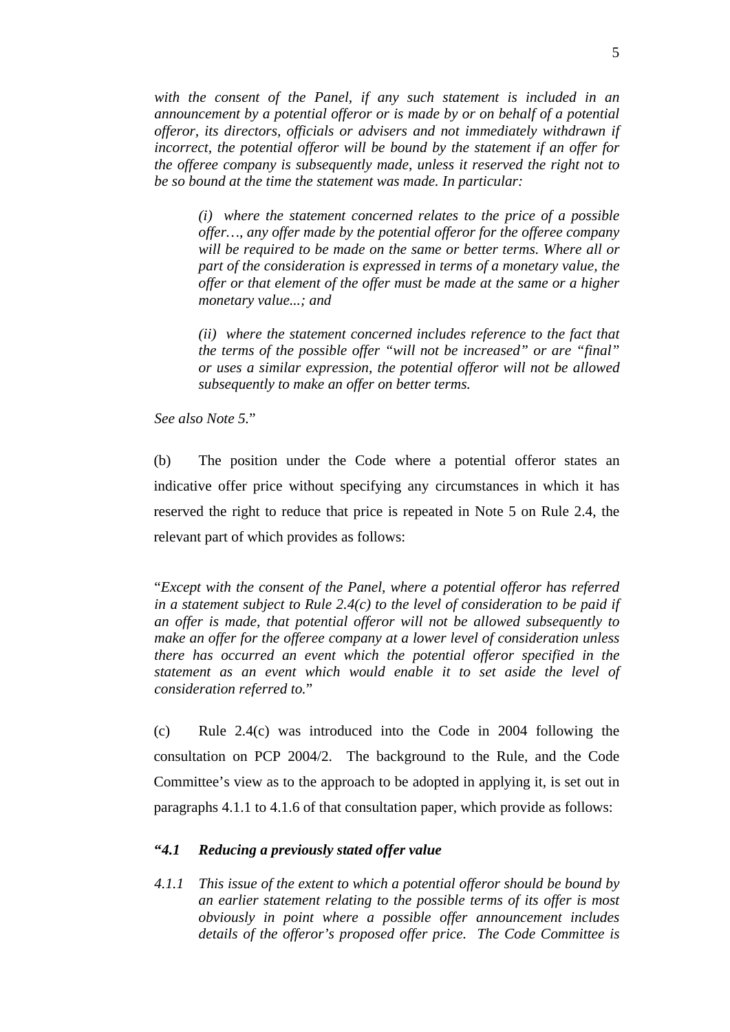*with the consent of the Panel, if any such statement is included in an announcement by a potential offeror or is made by or on behalf of a potential offeror, its directors, officials or advisers and not immediately withdrawn if incorrect, the potential offeror will be bound by the statement if an offer for the offeree company is subsequently made, unless it reserved the right not to be so bound at the time the statement was made. In particular:* 

*(i) where the statement concerned relates to the price of a possible offer…, any offer made by the potential offeror for the offeree company will be required to be made on the same or better terms. Where all or part of the consideration is expressed in terms of a monetary value, the offer or that element of the offer must be made at the same or a higher monetary value...; and* 

*(ii) where the statement concerned includes reference to the fact that the terms of the possible offer "will not be increased" or are "final" or uses a similar expression, the potential offeror will not be allowed subsequently to make an offer on better terms.* 

*See also Note 5.*"

(b) The position under the Code where a potential offeror states an indicative offer price without specifying any circumstances in which it has reserved the right to reduce that price is repeated in Note 5 on Rule 2.4, the relevant part of which provides as follows:

"*Except with the consent of the Panel, where a potential offeror has referred in a statement subject to Rule 2.4(c) to the level of consideration to be paid if an offer is made, that potential offeror will not be allowed subsequently to make an offer for the offeree company at a lower level of consideration unless there has occurred an event which the potential offeror specified in the statement as an event which would enable it to set aside the level of consideration referred to.*"

(c) Rule 2.4(c) was introduced into the Code in 2004 following the consultation on PCP 2004/2. The background to the Rule, and the Code Committee's view as to the approach to be adopted in applying it, is set out in paragraphs 4.1.1 to 4.1.6 of that consultation paper, which provide as follows:

## **"***4.1 Reducing a previously stated offer value*

*4.1.1 This issue of the extent to which a potential offeror should be bound by an earlier statement relating to the possible terms of its offer is most obviously in point where a possible offer announcement includes details of the offeror's proposed offer price. The Code Committee is*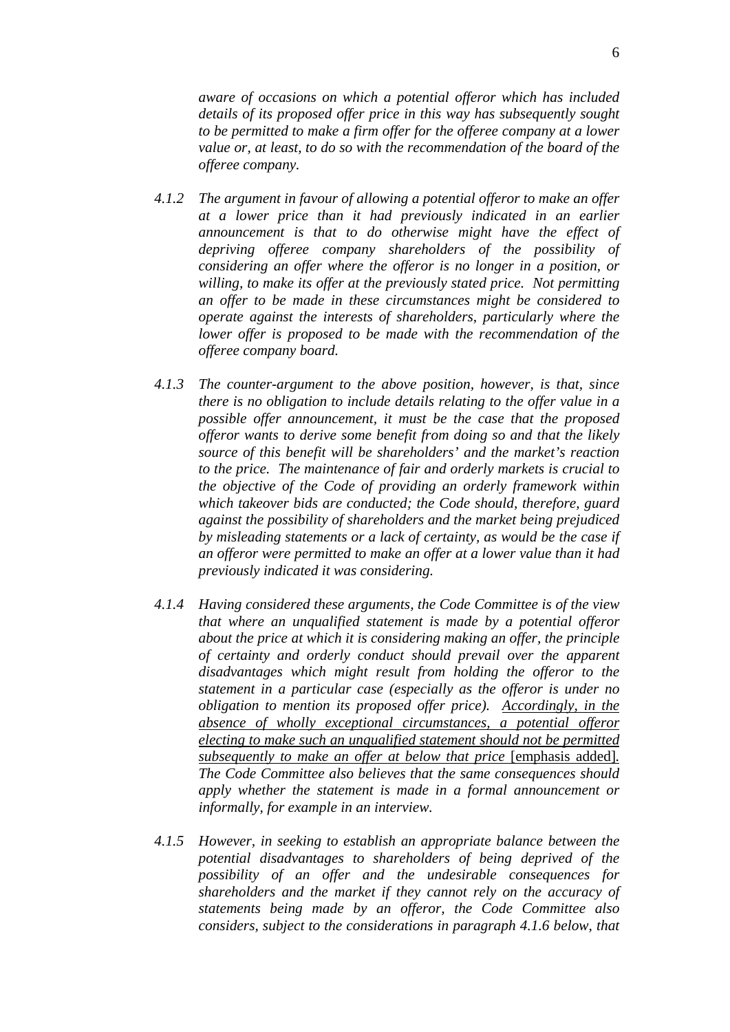*aware of occasions on which a potential offeror which has included details of its proposed offer price in this way has subsequently sought to be permitted to make a firm offer for the offeree company at a lower value or, at least, to do so with the recommendation of the board of the offeree company.* 

- *4.1.2 The argument in favour of allowing a potential offeror to make an offer at a lower price than it had previously indicated in an earlier announcement is that to do otherwise might have the effect of depriving offeree company shareholders of the possibility of considering an offer where the offeror is no longer in a position, or willing, to make its offer at the previously stated price. Not permitting an offer to be made in these circumstances might be considered to operate against the interests of shareholders, particularly where the lower offer is proposed to be made with the recommendation of the offeree company board.*
- *4.1.3 The counter-argument to the above position, however, is that, since there is no obligation to include details relating to the offer value in a possible offer announcement, it must be the case that the proposed offeror wants to derive some benefit from doing so and that the likely source of this benefit will be shareholders' and the market's reaction to the price. The maintenance of fair and orderly markets is crucial to the objective of the Code of providing an orderly framework within which takeover bids are conducted; the Code should, therefore, guard against the possibility of shareholders and the market being prejudiced by misleading statements or a lack of certainty, as would be the case if an offeror were permitted to make an offer at a lower value than it had previously indicated it was considering.*
- *4.1.4 Having considered these arguments, the Code Committee is of the view that where an unqualified statement is made by a potential offeror about the price at which it is considering making an offer, the principle of certainty and orderly conduct should prevail over the apparent disadvantages which might result from holding the offeror to the statement in a particular case (especially as the offeror is under no obligation to mention its proposed offer price). Accordingly, in the absence of wholly exceptional circumstances, a potential offeror electing to make such an unqualified statement should not be permitted subsequently to make an offer at below that price* [emphasis added]*. The Code Committee also believes that the same consequences should apply whether the statement is made in a formal announcement or informally, for example in an interview.*
- *4.1.5 However, in seeking to establish an appropriate balance between the potential disadvantages to shareholders of being deprived of the possibility of an offer and the undesirable consequences for shareholders and the market if they cannot rely on the accuracy of statements being made by an offeror, the Code Committee also considers, subject to the considerations in paragraph 4.1.6 below, that*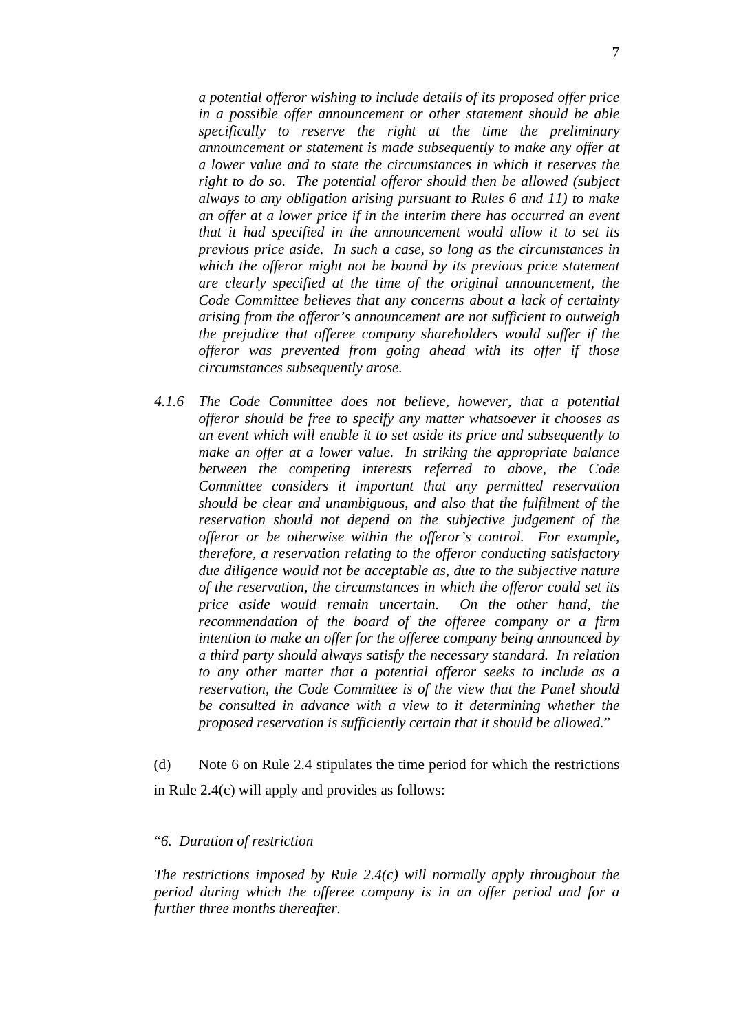*a potential offeror wishing to include details of its proposed offer price in a possible offer announcement or other statement should be able specifically to reserve the right at the time the preliminary announcement or statement is made subsequently to make any offer at a lower value and to state the circumstances in which it reserves the right to do so. The potential offeror should then be allowed (subject always to any obligation arising pursuant to Rules 6 and 11) to make an offer at a lower price if in the interim there has occurred an event that it had specified in the announcement would allow it to set its previous price aside. In such a case, so long as the circumstances in which the offeror might not be bound by its previous price statement are clearly specified at the time of the original announcement, the Code Committee believes that any concerns about a lack of certainty arising from the offeror's announcement are not sufficient to outweigh the prejudice that offeree company shareholders would suffer if the offeror was prevented from going ahead with its offer if those circumstances subsequently arose.* 

*4.1.6 The Code Committee does not believe, however, that a potential offeror should be free to specify any matter whatsoever it chooses as an event which will enable it to set aside its price and subsequently to make an offer at a lower value. In striking the appropriate balance between the competing interests referred to above, the Code Committee considers it important that any permitted reservation should be clear and unambiguous, and also that the fulfilment of the reservation should not depend on the subjective judgement of the offeror or be otherwise within the offeror's control. For example, therefore, a reservation relating to the offeror conducting satisfactory due diligence would not be acceptable as, due to the subjective nature of the reservation, the circumstances in which the offeror could set its price aside would remain uncertain. On the other hand, the recommendation of the board of the offeree company or a firm intention to make an offer for the offeree company being announced by a third party should always satisfy the necessary standard. In relation to any other matter that a potential offeror seeks to include as a reservation, the Code Committee is of the view that the Panel should be consulted in advance with a view to it determining whether the proposed reservation is sufficiently certain that it should be allowed.*"

(d) Note 6 on Rule 2.4 stipulates the time period for which the restrictions in Rule 2.4(c) will apply and provides as follows:

#### "*6. Duration of restriction*

*The restrictions imposed by Rule 2.4(c) will normally apply throughout the period during which the offeree company is in an offer period and for a further three months thereafter.*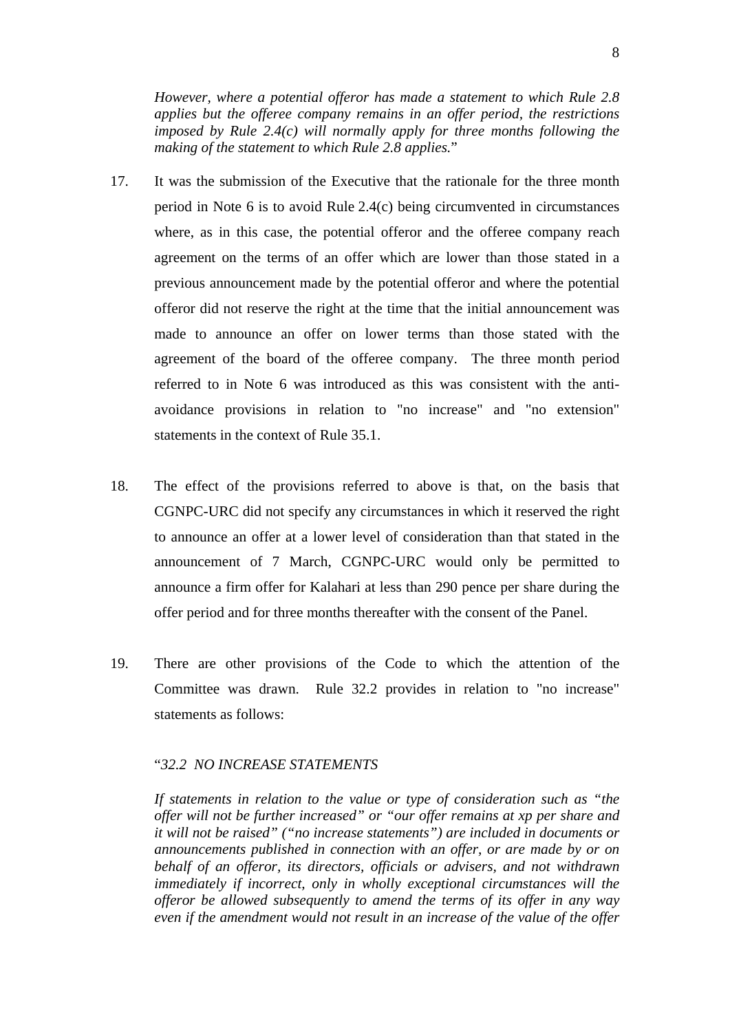*However, where a potential offeror has made a statement to which Rule 2.8 applies but the offeree company remains in an offer period, the restrictions imposed by Rule 2.4(c) will normally apply for three months following the making of the statement to which Rule 2.8 applies.*"

- 17. It was the submission of the Executive that the rationale for the three month period in Note 6 is to avoid Rule 2.4(c) being circumvented in circumstances where, as in this case, the potential offeror and the offeree company reach agreement on the terms of an offer which are lower than those stated in a previous announcement made by the potential offeror and where the potential offeror did not reserve the right at the time that the initial announcement was made to announce an offer on lower terms than those stated with the agreement of the board of the offeree company. The three month period referred to in Note 6 was introduced as this was consistent with the antiavoidance provisions in relation to "no increase" and "no extension" statements in the context of Rule 35.1.
- 18. The effect of the provisions referred to above is that, on the basis that CGNPC-URC did not specify any circumstances in which it reserved the right to announce an offer at a lower level of consideration than that stated in the announcement of 7 March, CGNPC-URC would only be permitted to announce a firm offer for Kalahari at less than 290 pence per share during the offer period and for three months thereafter with the consent of the Panel.
- 19. There are other provisions of the Code to which the attention of the Committee was drawn. Rule 32.2 provides in relation to "no increase" statements as follows:

## "*32.2 NO INCREASE STATEMENTS*

*If statements in relation to the value or type of consideration such as "the offer will not be further increased" or "our offer remains at xp per share and it will not be raised" ("no increase statements") are included in documents or announcements published in connection with an offer, or are made by or on behalf of an offeror, its directors, officials or advisers, and not withdrawn immediately if incorrect, only in wholly exceptional circumstances will the offeror be allowed subsequently to amend the terms of its offer in any way even if the amendment would not result in an increase of the value of the offer*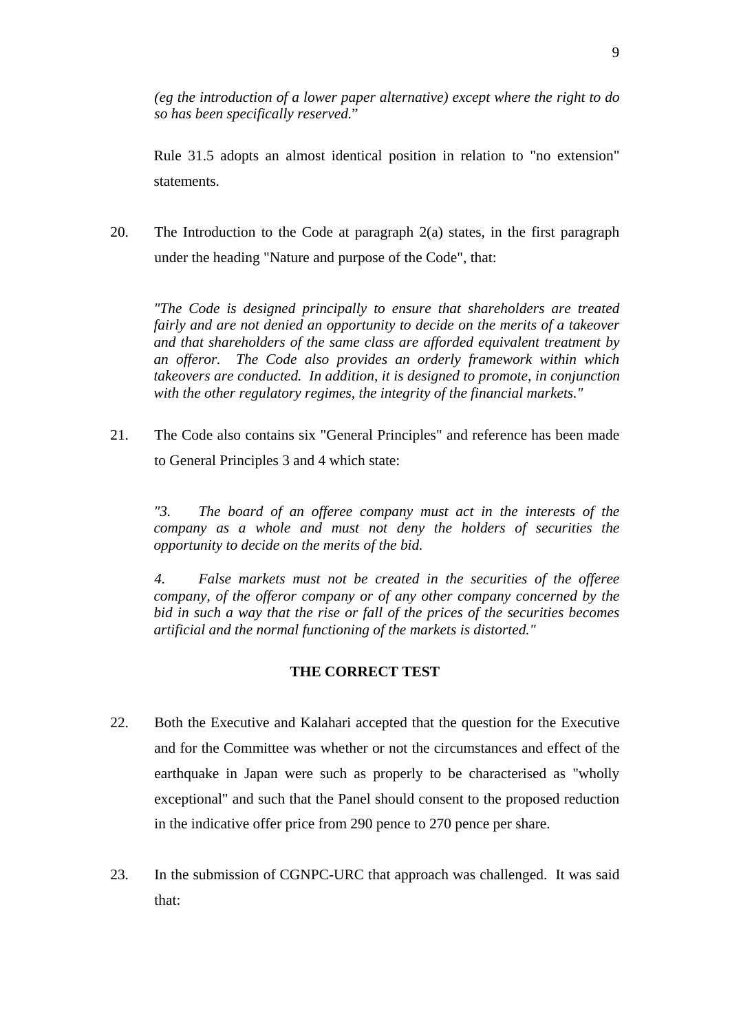*(eg the introduction of a lower paper alternative) except where the right to do so has been specifically reserved.*"

Rule 31.5 adopts an almost identical position in relation to "no extension" statements.

20. The Introduction to the Code at paragraph 2(a) states, in the first paragraph under the heading "Nature and purpose of the Code", that:

*"The Code is designed principally to ensure that shareholders are treated fairly and are not denied an opportunity to decide on the merits of a takeover and that shareholders of the same class are afforded equivalent treatment by an offeror. The Code also provides an orderly framework within which takeovers are conducted. In addition, it is designed to promote, in conjunction with the other regulatory regimes, the integrity of the financial markets."* 

21. The Code also contains six "General Principles" and reference has been made to General Principles 3 and 4 which state:

*"3. The board of an offeree company must act in the interests of the company as a whole and must not deny the holders of securities the opportunity to decide on the merits of the bid.* 

*4. False markets must not be created in the securities of the offeree company, of the offeror company or of any other company concerned by the bid in such a way that the rise or fall of the prices of the securities becomes artificial and the normal functioning of the markets is distorted."* 

#### **THE CORRECT TEST**

- 22. Both the Executive and Kalahari accepted that the question for the Executive and for the Committee was whether or not the circumstances and effect of the earthquake in Japan were such as properly to be characterised as "wholly exceptional" and such that the Panel should consent to the proposed reduction in the indicative offer price from 290 pence to 270 pence per share.
- 23. In the submission of CGNPC-URC that approach was challenged. It was said that: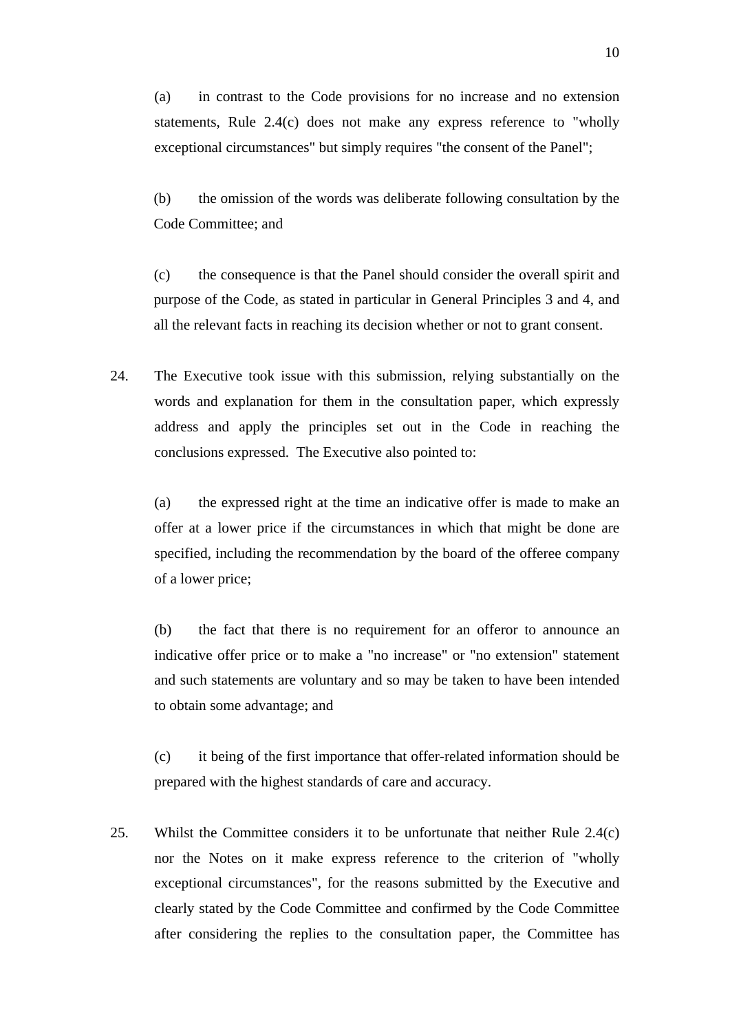(a) in contrast to the Code provisions for no increase and no extension statements, Rule 2.4(c) does not make any express reference to "wholly exceptional circumstances" but simply requires "the consent of the Panel";

(b) the omission of the words was deliberate following consultation by the Code Committee; and

(c) the consequence is that the Panel should consider the overall spirit and purpose of the Code, as stated in particular in General Principles 3 and 4, and all the relevant facts in reaching its decision whether or not to grant consent.

24. The Executive took issue with this submission, relying substantially on the words and explanation for them in the consultation paper, which expressly address and apply the principles set out in the Code in reaching the conclusions expressed. The Executive also pointed to:

(a) the expressed right at the time an indicative offer is made to make an offer at a lower price if the circumstances in which that might be done are specified, including the recommendation by the board of the offeree company of a lower price;

(b) the fact that there is no requirement for an offeror to announce an indicative offer price or to make a "no increase" or "no extension" statement and such statements are voluntary and so may be taken to have been intended to obtain some advantage; and

(c) it being of the first importance that offer-related information should be prepared with the highest standards of care and accuracy.

25. Whilst the Committee considers it to be unfortunate that neither Rule 2.4(c) nor the Notes on it make express reference to the criterion of "wholly exceptional circumstances", for the reasons submitted by the Executive and clearly stated by the Code Committee and confirmed by the Code Committee after considering the replies to the consultation paper, the Committee has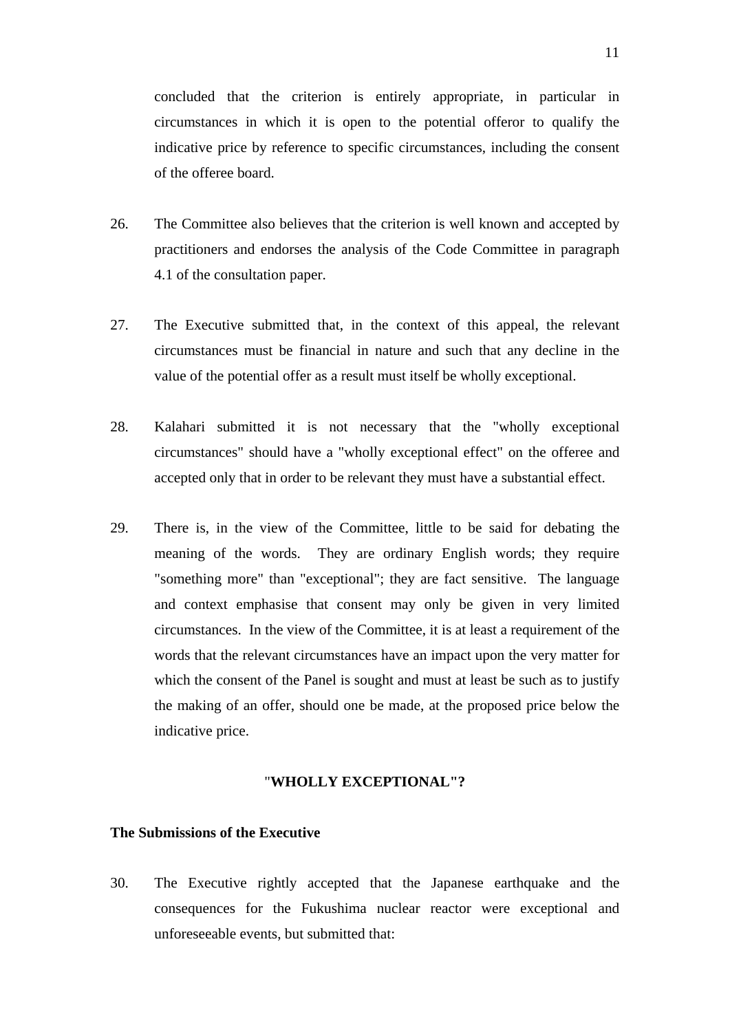concluded that the criterion is entirely appropriate, in particular in circumstances in which it is open to the potential offeror to qualify the indicative price by reference to specific circumstances, including the consent of the offeree board.

- 26. The Committee also believes that the criterion is well known and accepted by practitioners and endorses the analysis of the Code Committee in paragraph 4.1 of the consultation paper.
- 27. The Executive submitted that, in the context of this appeal, the relevant circumstances must be financial in nature and such that any decline in the value of the potential offer as a result must itself be wholly exceptional.
- 28. Kalahari submitted it is not necessary that the "wholly exceptional circumstances" should have a "wholly exceptional effect" on the offeree and accepted only that in order to be relevant they must have a substantial effect.
- 29. There is, in the view of the Committee, little to be said for debating the meaning of the words. They are ordinary English words; they require "something more" than "exceptional"; they are fact sensitive. The language and context emphasise that consent may only be given in very limited circumstances. In the view of the Committee, it is at least a requirement of the words that the relevant circumstances have an impact upon the very matter for which the consent of the Panel is sought and must at least be such as to justify the making of an offer, should one be made, at the proposed price below the indicative price.

#### "**WHOLLY EXCEPTIONAL"?**

## **The Submissions of the Executive**

30. The Executive rightly accepted that the Japanese earthquake and the consequences for the Fukushima nuclear reactor were exceptional and unforeseeable events, but submitted that: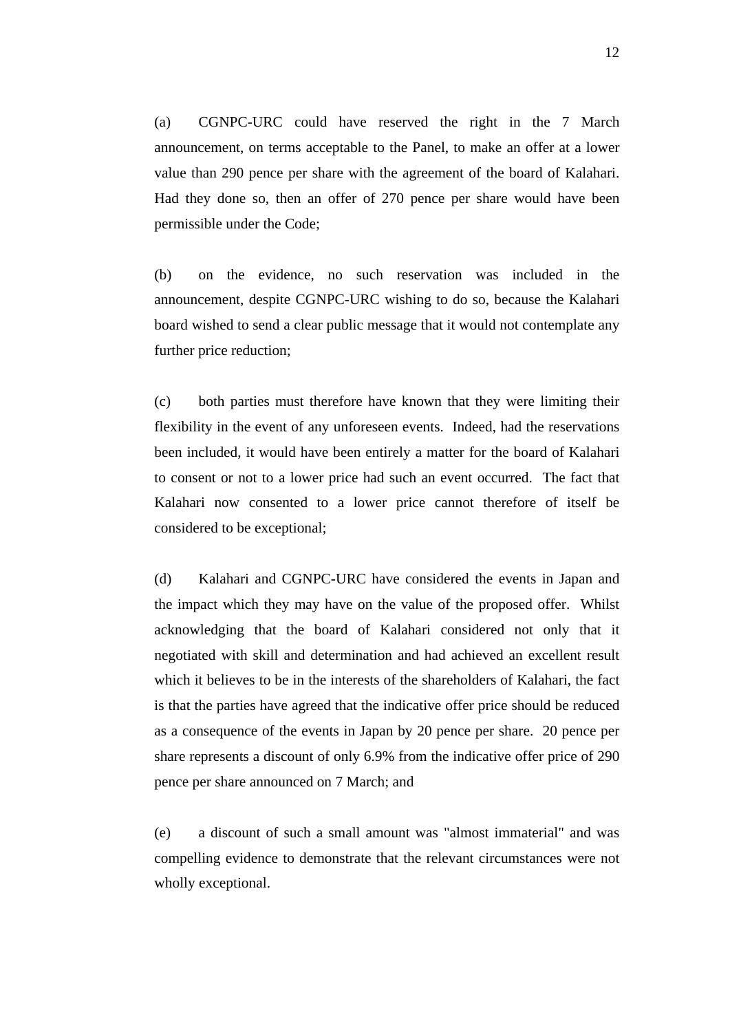(a) CGNPC-URC could have reserved the right in the 7 March announcement, on terms acceptable to the Panel, to make an offer at a lower value than 290 pence per share with the agreement of the board of Kalahari. Had they done so, then an offer of 270 pence per share would have been permissible under the Code;

(b) on the evidence, no such reservation was included in the announcement, despite CGNPC-URC wishing to do so, because the Kalahari board wished to send a clear public message that it would not contemplate any further price reduction;

(c) both parties must therefore have known that they were limiting their flexibility in the event of any unforeseen events. Indeed, had the reservations been included, it would have been entirely a matter for the board of Kalahari to consent or not to a lower price had such an event occurred. The fact that Kalahari now consented to a lower price cannot therefore of itself be considered to be exceptional;

(d) Kalahari and CGNPC-URC have considered the events in Japan and the impact which they may have on the value of the proposed offer. Whilst acknowledging that the board of Kalahari considered not only that it negotiated with skill and determination and had achieved an excellent result which it believes to be in the interests of the shareholders of Kalahari, the fact is that the parties have agreed that the indicative offer price should be reduced as a consequence of the events in Japan by 20 pence per share. 20 pence per share represents a discount of only 6.9% from the indicative offer price of 290 pence per share announced on 7 March; and

 (e) a discount of such a small amount was "almost immaterial" and was compelling evidence to demonstrate that the relevant circumstances were not wholly exceptional.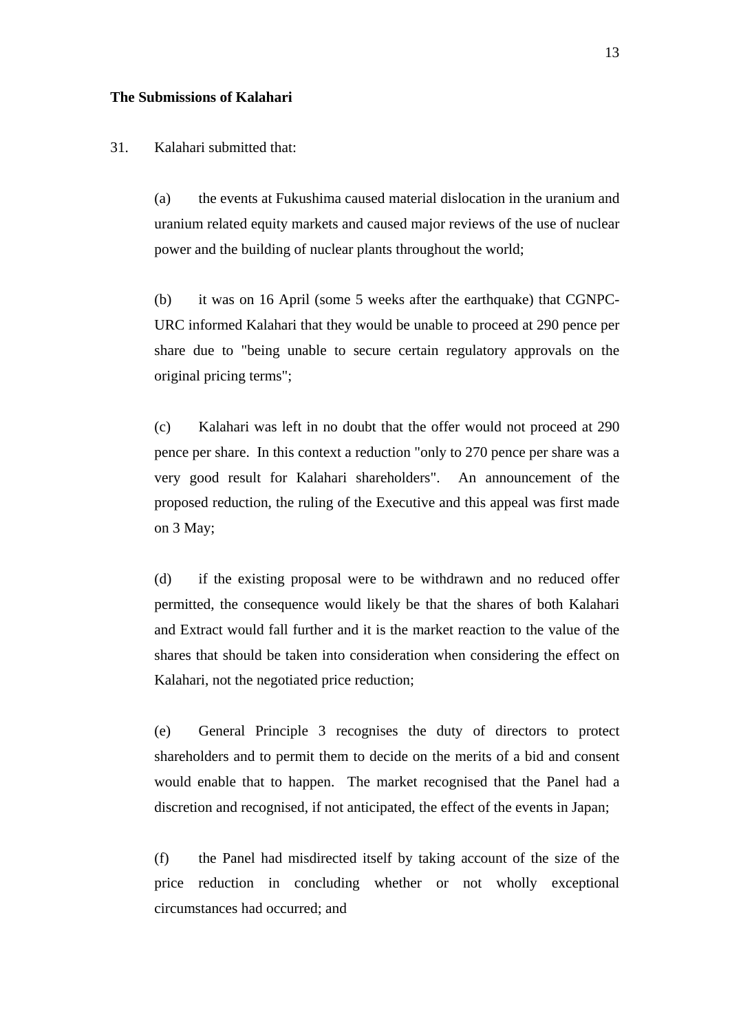#### **The Submissions of Kalahari**

## 31. Kalahari submitted that:

(a) the events at Fukushima caused material dislocation in the uranium and uranium related equity markets and caused major reviews of the use of nuclear power and the building of nuclear plants throughout the world;

(b) it was on 16 April (some 5 weeks after the earthquake) that CGNPC-URC informed Kalahari that they would be unable to proceed at 290 pence per share due to "being unable to secure certain regulatory approvals on the original pricing terms";

(c) Kalahari was left in no doubt that the offer would not proceed at 290 pence per share. In this context a reduction "only to 270 pence per share was a very good result for Kalahari shareholders". An announcement of the proposed reduction, the ruling of the Executive and this appeal was first made on 3 May;

(d) if the existing proposal were to be withdrawn and no reduced offer permitted, the consequence would likely be that the shares of both Kalahari and Extract would fall further and it is the market reaction to the value of the shares that should be taken into consideration when considering the effect on Kalahari, not the negotiated price reduction;

(e) General Principle 3 recognises the duty of directors to protect shareholders and to permit them to decide on the merits of a bid and consent would enable that to happen. The market recognised that the Panel had a discretion and recognised, if not anticipated, the effect of the events in Japan;

(f) the Panel had misdirected itself by taking account of the size of the price reduction in concluding whether or not wholly exceptional circumstances had occurred; and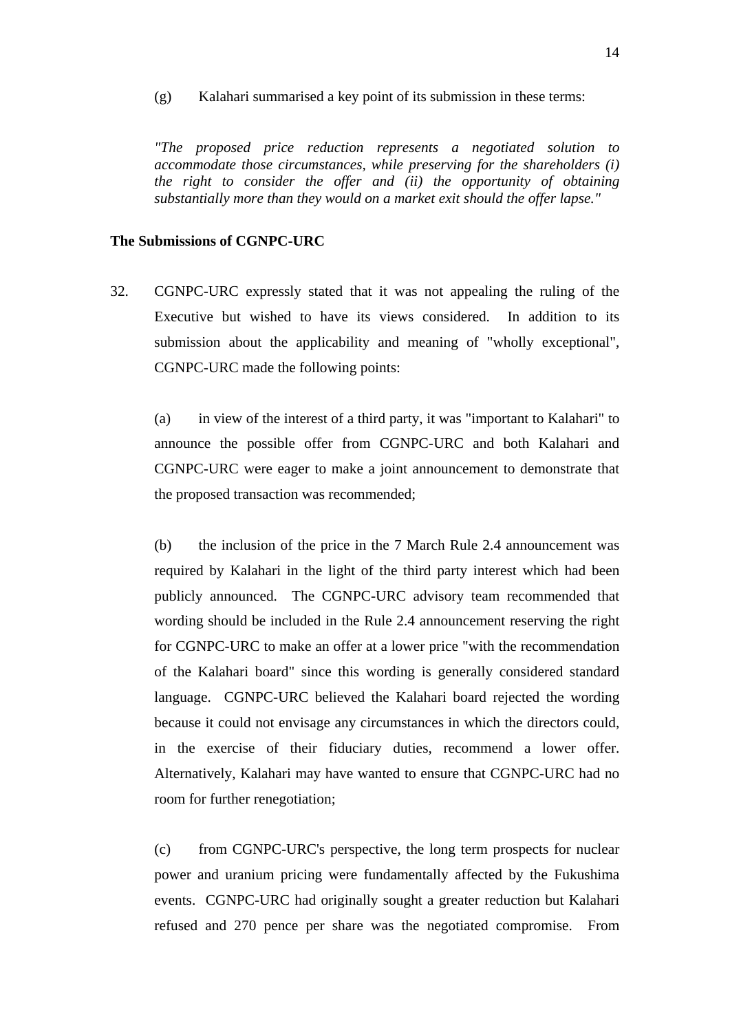(g) Kalahari summarised a key point of its submission in these terms:

*"The proposed price reduction represents a negotiated solution to accommodate those circumstances, while preserving for the shareholders (i) the right to consider the offer and (ii) the opportunity of obtaining substantially more than they would on a market exit should the offer lapse."* 

#### **The Submissions of CGNPC-URC**

32. CGNPC-URC expressly stated that it was not appealing the ruling of the Executive but wished to have its views considered. In addition to its submission about the applicability and meaning of "wholly exceptional", CGNPC-URC made the following points:

(a) in view of the interest of a third party, it was "important to Kalahari" to announce the possible offer from CGNPC-URC and both Kalahari and CGNPC-URC were eager to make a joint announcement to demonstrate that the proposed transaction was recommended;

(b) the inclusion of the price in the 7 March Rule 2.4 announcement was required by Kalahari in the light of the third party interest which had been publicly announced. The CGNPC-URC advisory team recommended that wording should be included in the Rule 2.4 announcement reserving the right for CGNPC-URC to make an offer at a lower price "with the recommendation of the Kalahari board" since this wording is generally considered standard language. CGNPC-URC believed the Kalahari board rejected the wording because it could not envisage any circumstances in which the directors could, in the exercise of their fiduciary duties, recommend a lower offer. Alternatively, Kalahari may have wanted to ensure that CGNPC-URC had no room for further renegotiation;

(c) from CGNPC-URC's perspective, the long term prospects for nuclear power and uranium pricing were fundamentally affected by the Fukushima events. CGNPC-URC had originally sought a greater reduction but Kalahari refused and 270 pence per share was the negotiated compromise. From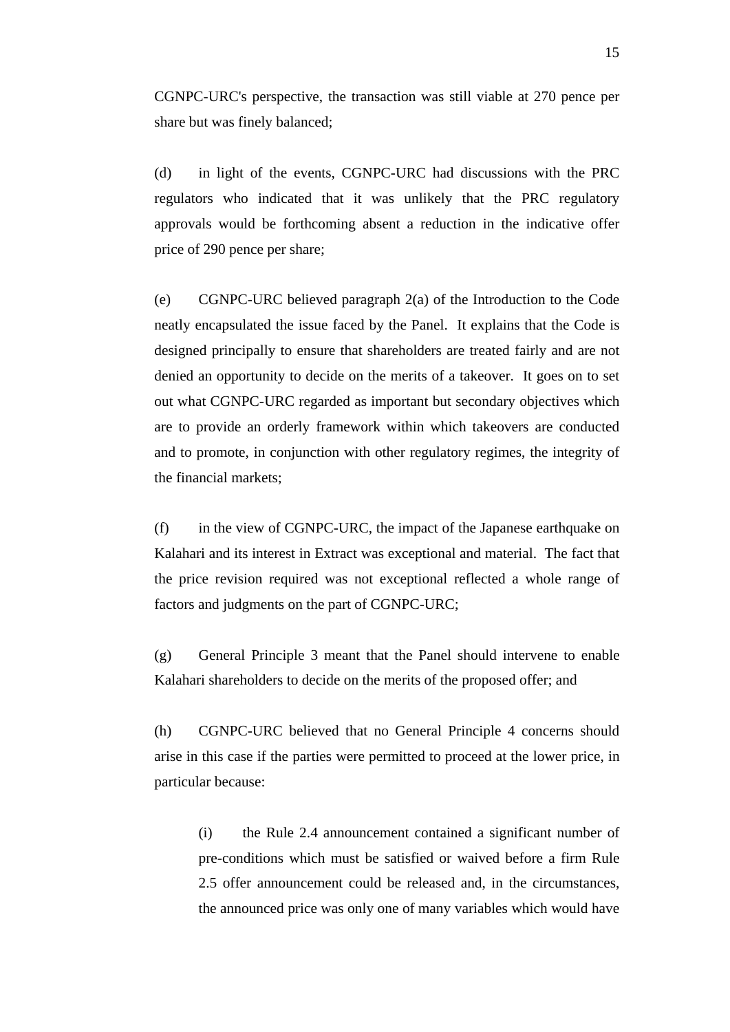CGNPC-URC's perspective, the transaction was still viable at 270 pence per share but was finely balanced;

(d) in light of the events, CGNPC-URC had discussions with the PRC regulators who indicated that it was unlikely that the PRC regulatory approvals would be forthcoming absent a reduction in the indicative offer price of 290 pence per share;

(e) CGNPC-URC believed paragraph 2(a) of the Introduction to the Code neatly encapsulated the issue faced by the Panel. It explains that the Code is designed principally to ensure that shareholders are treated fairly and are not denied an opportunity to decide on the merits of a takeover. It goes on to set out what CGNPC-URC regarded as important but secondary objectives which are to provide an orderly framework within which takeovers are conducted and to promote, in conjunction with other regulatory regimes, the integrity of the financial markets;

(f) in the view of CGNPC-URC, the impact of the Japanese earthquake on Kalahari and its interest in Extract was exceptional and material. The fact that the price revision required was not exceptional reflected a whole range of factors and judgments on the part of CGNPC-URC;

(g) General Principle 3 meant that the Panel should intervene to enable Kalahari shareholders to decide on the merits of the proposed offer; and

(h) CGNPC-URC believed that no General Principle 4 concerns should arise in this case if the parties were permitted to proceed at the lower price, in particular because:

(i) the Rule 2.4 announcement contained a significant number of pre-conditions which must be satisfied or waived before a firm Rule 2.5 offer announcement could be released and, in the circumstances, the announced price was only one of many variables which would have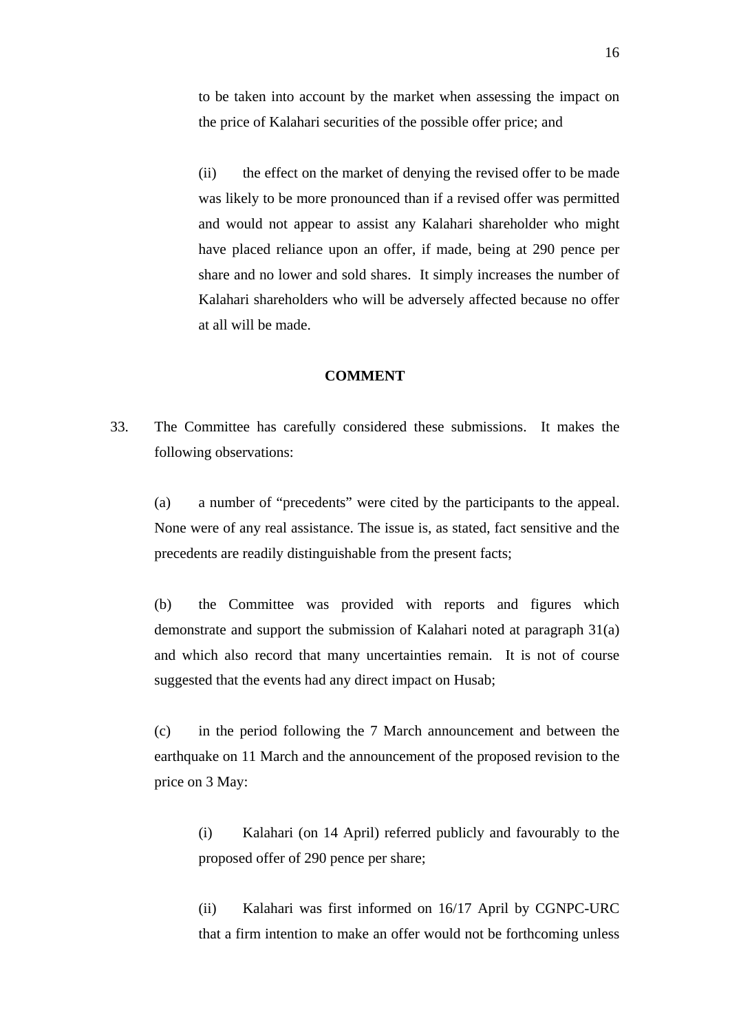to be taken into account by the market when assessing the impact on the price of Kalahari securities of the possible offer price; and

(ii) the effect on the market of denying the revised offer to be made was likely to be more pronounced than if a revised offer was permitted and would not appear to assist any Kalahari shareholder who might have placed reliance upon an offer, if made, being at 290 pence per share and no lower and sold shares. It simply increases the number of Kalahari shareholders who will be adversely affected because no offer at all will be made.

#### **COMMENT**

33. The Committee has carefully considered these submissions. It makes the following observations:

(a) a number of "precedents" were cited by the participants to the appeal. None were of any real assistance. The issue is, as stated, fact sensitive and the precedents are readily distinguishable from the present facts;

(b) the Committee was provided with reports and figures which demonstrate and support the submission of Kalahari noted at paragraph 31(a) and which also record that many uncertainties remain. It is not of course suggested that the events had any direct impact on Husab;

(c) in the period following the 7 March announcement and between the earthquake on 11 March and the announcement of the proposed revision to the price on 3 May:

(i) Kalahari (on 14 April) referred publicly and favourably to the proposed offer of 290 pence per share;

(ii) Kalahari was first informed on 16/17 April by CGNPC-URC that a firm intention to make an offer would not be forthcoming unless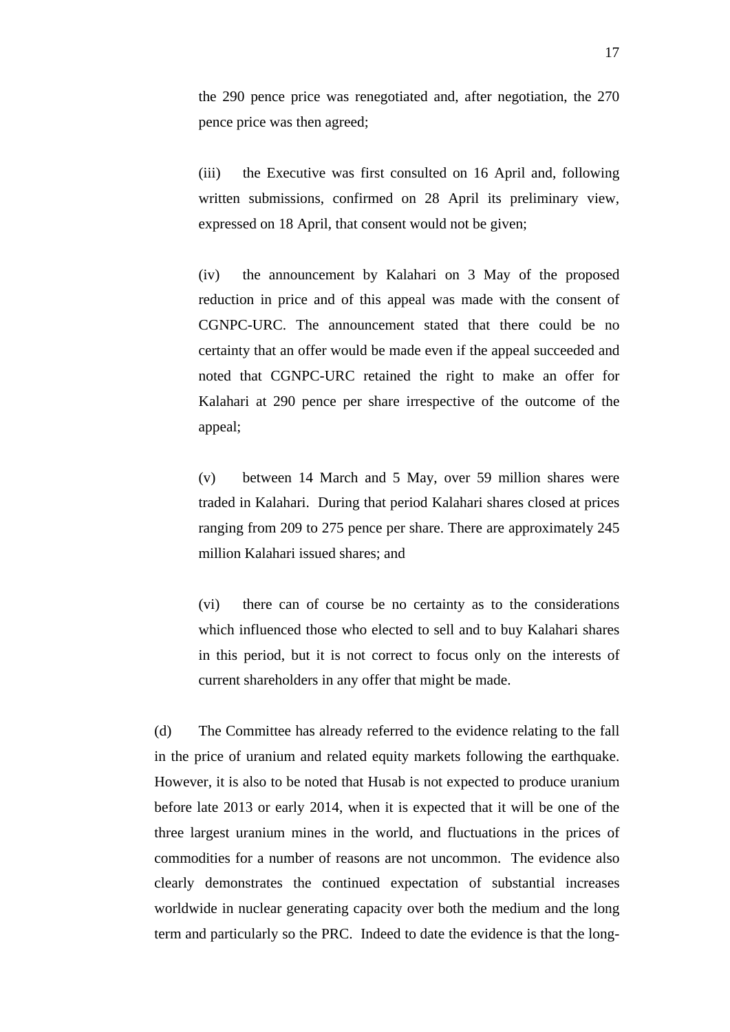the 290 pence price was renegotiated and, after negotiation, the 270 pence price was then agreed;

(iii) the Executive was first consulted on 16 April and, following written submissions, confirmed on 28 April its preliminary view, expressed on 18 April, that consent would not be given;

(iv) the announcement by Kalahari on 3 May of the proposed reduction in price and of this appeal was made with the consent of CGNPC-URC. The announcement stated that there could be no certainty that an offer would be made even if the appeal succeeded and noted that CGNPC-URC retained the right to make an offer for Kalahari at 290 pence per share irrespective of the outcome of the appeal;

(v) between 14 March and 5 May, over 59 million shares were traded in Kalahari. During that period Kalahari shares closed at prices ranging from 209 to 275 pence per share. There are approximately 245 million Kalahari issued shares; and

(vi) there can of course be no certainty as to the considerations which influenced those who elected to sell and to buy Kalahari shares in this period, but it is not correct to focus only on the interests of current shareholders in any offer that might be made.

(d) The Committee has already referred to the evidence relating to the fall in the price of uranium and related equity markets following the earthquake. However, it is also to be noted that Husab is not expected to produce uranium before late 2013 or early 2014, when it is expected that it will be one of the three largest uranium mines in the world, and fluctuations in the prices of commodities for a number of reasons are not uncommon. The evidence also clearly demonstrates the continued expectation of substantial increases worldwide in nuclear generating capacity over both the medium and the long term and particularly so the PRC. Indeed to date the evidence is that the long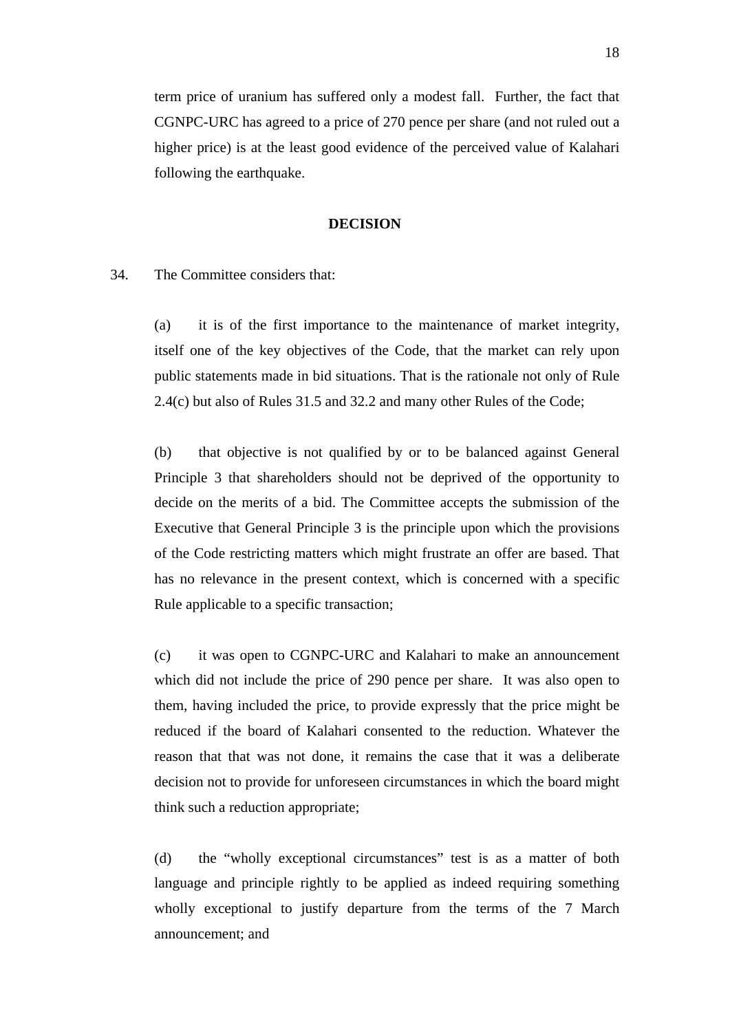term price of uranium has suffered only a modest fall. Further, the fact that CGNPC-URC has agreed to a price of 270 pence per share (and not ruled out a higher price) is at the least good evidence of the perceived value of Kalahari following the earthquake.

#### **DECISION**

## 34. The Committee considers that:

(a) it is of the first importance to the maintenance of market integrity, itself one of the key objectives of the Code, that the market can rely upon public statements made in bid situations. That is the rationale not only of Rule 2.4(c) but also of Rules 31.5 and 32.2 and many other Rules of the Code;

(b) that objective is not qualified by or to be balanced against General Principle 3 that shareholders should not be deprived of the opportunity to decide on the merits of a bid. The Committee accepts the submission of the Executive that General Principle 3 is the principle upon which the provisions of the Code restricting matters which might frustrate an offer are based. That has no relevance in the present context, which is concerned with a specific Rule applicable to a specific transaction;

(c) it was open to CGNPC-URC and Kalahari to make an announcement which did not include the price of 290 pence per share. It was also open to them, having included the price, to provide expressly that the price might be reduced if the board of Kalahari consented to the reduction. Whatever the reason that that was not done, it remains the case that it was a deliberate decision not to provide for unforeseen circumstances in which the board might think such a reduction appropriate;

(d) the "wholly exceptional circumstances" test is as a matter of both language and principle rightly to be applied as indeed requiring something wholly exceptional to justify departure from the terms of the 7 March announcement; and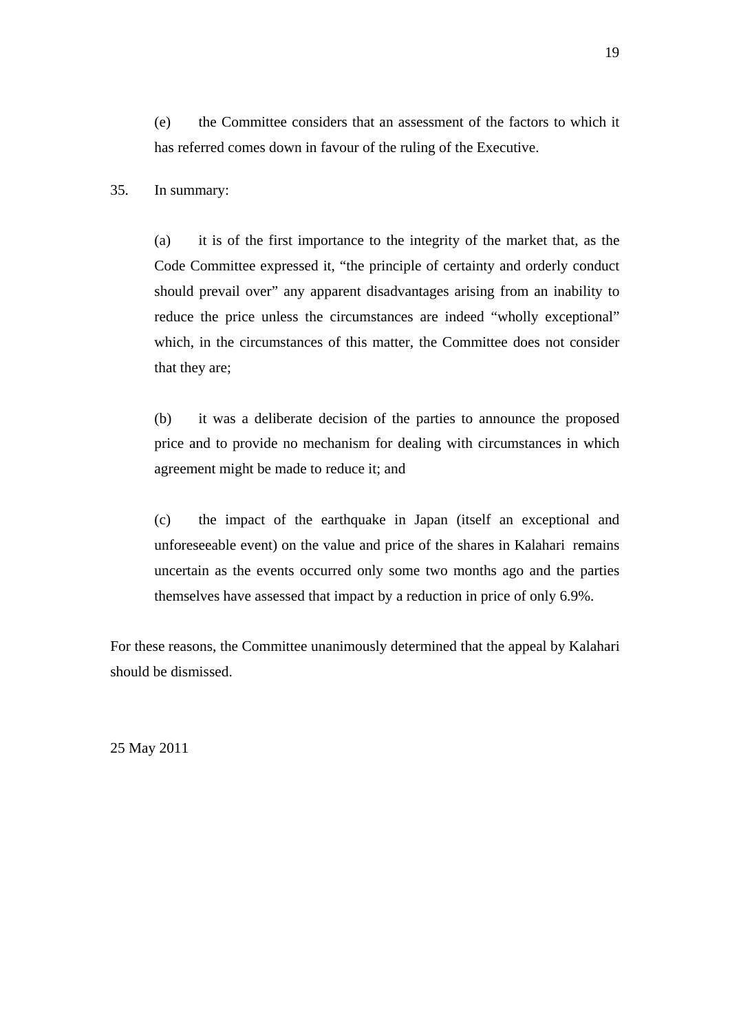(e) the Committee considers that an assessment of the factors to which it has referred comes down in favour of the ruling of the Executive.

35. In summary:

(a) it is of the first importance to the integrity of the market that, as the Code Committee expressed it, "the principle of certainty and orderly conduct should prevail over" any apparent disadvantages arising from an inability to reduce the price unless the circumstances are indeed "wholly exceptional" which, in the circumstances of this matter, the Committee does not consider that they are;

(b) it was a deliberate decision of the parties to announce the proposed price and to provide no mechanism for dealing with circumstances in which agreement might be made to reduce it; and

(c) the impact of the earthquake in Japan (itself an exceptional and unforeseeable event) on the value and price of the shares in Kalahari remains uncertain as the events occurred only some two months ago and the parties themselves have assessed that impact by a reduction in price of only 6.9%.

For these reasons, the Committee unanimously determined that the appeal by Kalahari should be dismissed.

25 May 2011